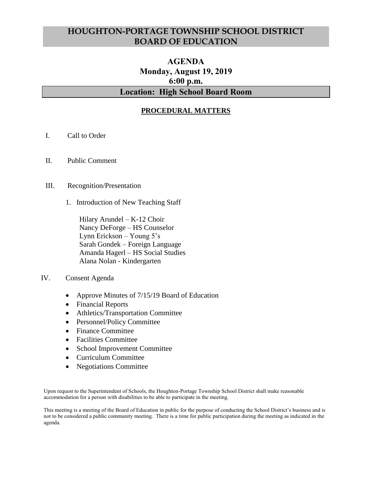# **HOUGHTON-PORTAGE TOWNSHIP SCHOOL DISTRICT BOARD OF EDUCATION**

# **AGENDA Monday, August 19, 2019 6:00 p.m. Location: High School Board Room**

# **PROCEDURAL MATTERS**

- I. Call to Order
- II. Public Comment
- III. Recognition/Presentation
	- 1. Introduction of New Teaching Staff

Hilary Arundel – K-12 Choir Nancy DeForge – HS Counselor Lynn Erickson – Young 5's Sarah Gondek – Foreign Language Amanda Hagerl – HS Social Studies Alana Nolan - Kindergarten

- IV. Consent Agenda
	- Approve Minutes of 7/15/19 Board of Education
	- Financial Reports
	- Athletics/Transportation Committee
	- Personnel/Policy Committee
	- Finance Committee
	- Facilities Committee
	- School Improvement Committee
	- Curriculum Committee
	- Negotiations Committee

Upon request to the Superintendent of Schools, the Houghton-Portage Township School District shall make reasonable accommodation for a person with disabilities to be able to participate in the meeting.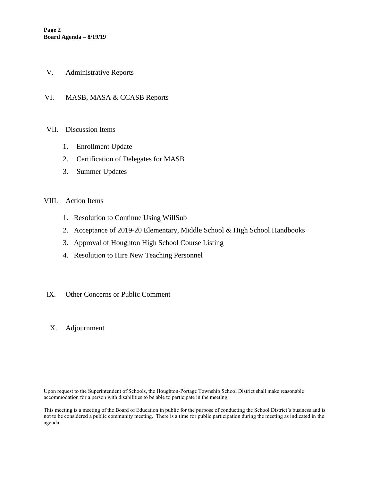- V. Administrative Reports
- VI. MASB, MASA & CCASB Reports

#### VII. Discussion Items

- 1. Enrollment Update
- 2. Certification of Delegates for MASB
- 3. Summer Updates

#### VIII. Action Items

- 1. Resolution to Continue Using WillSub
- 2. Acceptance of 2019-20 Elementary, Middle School & High School Handbooks
- 3. Approval of Houghton High School Course Listing
- 4. Resolution to Hire New Teaching Personnel

#### IX. Other Concerns or Public Comment

X. Adjournment

Upon request to the Superintendent of Schools, the Houghton-Portage Township School District shall make reasonable accommodation for a person with disabilities to be able to participate in the meeting.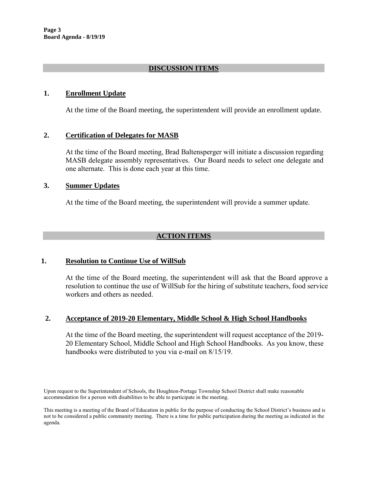# **DISCUSSION ITEMS**

## **1. Enrollment Update**

At the time of the Board meeting, the superintendent will provide an enrollment update.

## **2. Certification of Delegates for MASB**

At the time of the Board meeting, Brad Baltensperger will initiate a discussion regarding MASB delegate assembly representatives. Our Board needs to select one delegate and one alternate. This is done each year at this time.

## **3. Summer Updates**

At the time of the Board meeting, the superintendent will provide a summer update.

# **ACTION ITEMS**

## **1. Resolution to Continue Use of WillSub**

At the time of the Board meeting, the superintendent will ask that the Board approve a resolution to continue the use of WillSub for the hiring of substitute teachers, food service workers and others as needed.

## **2. Acceptance of 2019-20 Elementary, Middle School & High School Handbooks**

At the time of the Board meeting, the superintendent will request acceptance of the 2019- 20 Elementary School, Middle School and High School Handbooks. As you know, these handbooks were distributed to you via e-mail on 8/15/19.

Upon request to the Superintendent of Schools, the Houghton-Portage Township School District shall make reasonable accommodation for a person with disabilities to be able to participate in the meeting.